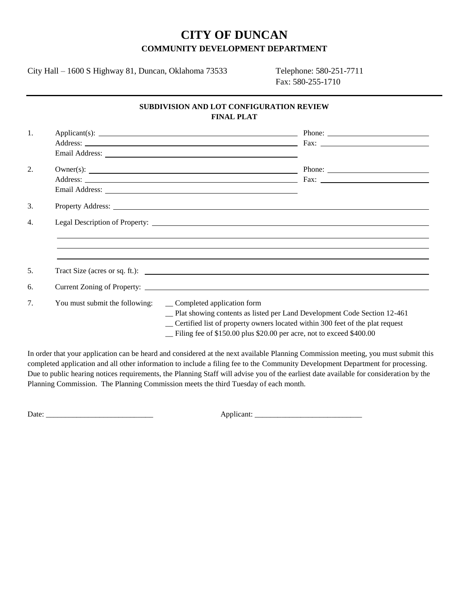## **CITY OF DUNCAN COMMUNITY DEVELOPMENT DEPARTMENT**

City Hall – 1600 S Highway 81, Duncan, Oklahoma 73533 Telephone: 580-251-7711

Fax: 580-255-1710

## **SUBDIVISION AND LOT CONFIGURATION REVIEW FINAL PLAT**

| 1.  |                                |                                                                                                                                                                                              |
|-----|--------------------------------|----------------------------------------------------------------------------------------------------------------------------------------------------------------------------------------------|
|     |                                |                                                                                                                                                                                              |
|     |                                |                                                                                                                                                                                              |
| 2.  |                                |                                                                                                                                                                                              |
|     |                                |                                                                                                                                                                                              |
|     |                                |                                                                                                                                                                                              |
| 3.  |                                |                                                                                                                                                                                              |
| 4.  |                                |                                                                                                                                                                                              |
|     |                                | ,我们也不能会有什么。""我们的人,我们也不能会有什么?""我们的人,我们也不能会有什么?""我们的人,我们也不能会有什么?""我们的人,我们也不能会有什么?""                                                                                                            |
|     |                                |                                                                                                                                                                                              |
|     |                                |                                                                                                                                                                                              |
| .5. |                                | Tract Size (acres or sq. ft.):                                                                                                                                                               |
| 6.  |                                |                                                                                                                                                                                              |
|     |                                |                                                                                                                                                                                              |
| 7.  | You must submit the following: | _ Completed application form<br>-Plat showing contents as listed per Land Development Code Section 12-461<br>_ Certified list of property owners located within 300 feet of the plat request |
|     |                                | - Filing fee of \$150.00 plus \$20.00 per acre, not to exceed \$400.00                                                                                                                       |

In order that your application can be heard and considered at the next available Planning Commission meeting, you must submit this completed application and all other information to include a filing fee to the Community Development Department for processing. Due to public hearing notices requirements, the Planning Staff will advise you of the earliest date available for consideration by the Planning Commission. The Planning Commission meets the third Tuesday of each month.

Date: \_\_\_\_\_\_\_\_\_\_\_\_\_\_\_\_\_\_\_\_\_\_\_\_\_\_\_\_ Applicant: \_\_\_\_\_\_\_\_\_\_\_\_\_\_\_\_\_\_\_\_\_\_\_\_\_\_\_\_